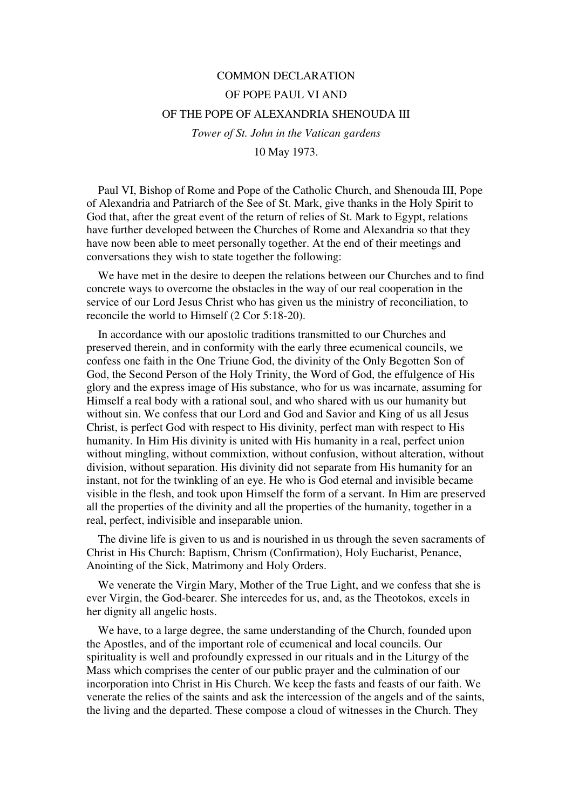## COMMON DECLARATION OF POPE PAUL VI AND OF THE POPE OF ALEXANDRIA SHENOUDA III *Tower of St. John in the Vatican gardens*  10 May 1973.

 Paul VI, Bishop of Rome and Pope of the Catholic Church, and Shenouda III, Pope of Alexandria and Patriarch of the See of St. Mark, give thanks in the Holy Spirit to God that, after the great event of the return of relies of St. Mark to Egypt, relations have further developed between the Churches of Rome and Alexandria so that they have now been able to meet personally together. At the end of their meetings and conversations they wish to state together the following:

 We have met in the desire to deepen the relations between our Churches and to find concrete ways to overcome the obstacles in the way of our real cooperation in the service of our Lord Jesus Christ who has given us the ministry of reconciliation, to reconcile the world to Himself (2 Cor 5:18-20).

 In accordance with our apostolic traditions transmitted to our Churches and preserved therein, and in conformity with the early three ecumenical councils, we confess one faith in the One Triune God, the divinity of the Only Begotten Son of God, the Second Person of the Holy Trinity, the Word of God, the effulgence of His glory and the express image of His substance, who for us was incarnate, assuming for Himself a real body with a rational soul, and who shared with us our humanity but without sin. We confess that our Lord and God and Savior and King of us all Jesus Christ, is perfect God with respect to His divinity, perfect man with respect to His humanity. In Him His divinity is united with His humanity in a real, perfect union without mingling, without commixtion, without confusion, without alteration, without division, without separation. His divinity did not separate from His humanity for an instant, not for the twinkling of an eye. He who is God eternal and invisible became visible in the flesh, and took upon Himself the form of a servant. In Him are preserved all the properties of the divinity and all the properties of the humanity, together in a real, perfect, indivisible and inseparable union.

 The divine life is given to us and is nourished in us through the seven sacraments of Christ in His Church: Baptism, Chrism (Confirmation), Holy Eucharist, Penance, Anointing of the Sick, Matrimony and Holy Orders.

We venerate the Virgin Mary, Mother of the True Light, and we confess that she is ever Virgin, the God-bearer. She intercedes for us, and, as the Theotokos, excels in her dignity all angelic hosts.

 We have, to a large degree, the same understanding of the Church, founded upon the Apostles, and of the important role of ecumenical and local councils. Our spirituality is well and profoundly expressed in our rituals and in the Liturgy of the Mass which comprises the center of our public prayer and the culmination of our incorporation into Christ in His Church. We keep the fasts and feasts of our faith. We venerate the relies of the saints and ask the intercession of the angels and of the saints, the living and the departed. These compose a cloud of witnesses in the Church. They